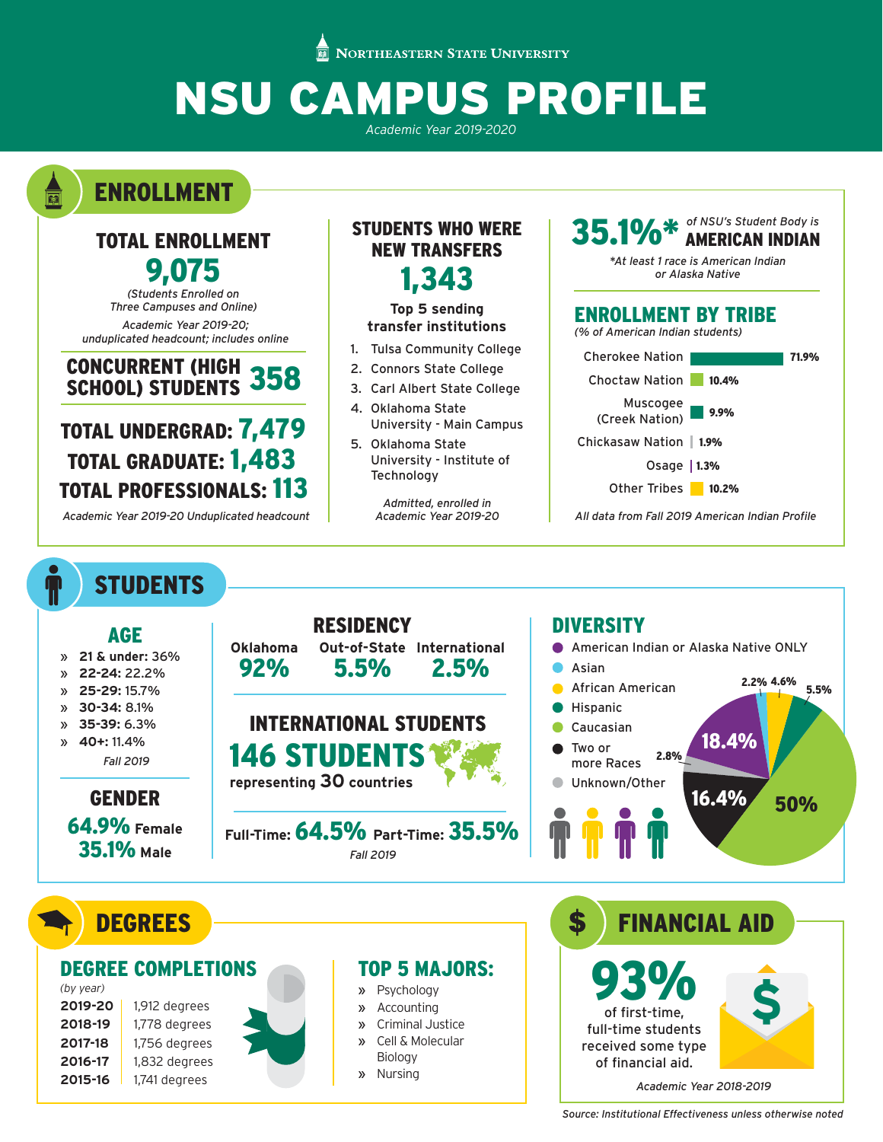**NORTHEASTERN STATE UNIVERSITY** 

# NSU CAMPUS PROFILE

*Academic Year 2019-2020*

ENROLLMENT

a

T

## TOTAL ENROLLMENT 9,075

*(Students Enrolled on Three Campuses and Online)*

*Academic Year 2019-20; unduplicated headcount; includes online*

### CONCURRENT (HIGH **SCHOOL) STUDENTS**

# TOTAL UNDERGRAD: 7,479 TOTAL GRADUATE: 1,483 TOTAL PROFESSIONALS: 113

*Academic Year 2019-20 Unduplicated headcount*

**STUDENTS** 

**2015-16** 1,741 degrees

## STUDENTS WHO WERE NEW TRANSFERS 1,343

#### **Top 5 sending transfer institutions**

- 1. Tulsa Community College
- 2. Connors State College
- 3. Carl Albert State College
- 4. Oklahoma State University - Main Campus
- 5. Oklahoma State University - Institute of **Technology**

*Admitted, enrolled in Academic Year 2019-20*

## 35.1%\* *of NSU's Student Body is*  AMERICAN INDIAN *\*At least 1 race is American Indian or Alaska Native* ENROLLMENT BY TRIBE *(% of American Indian students)* Cherokee Nation | The Table 71.9% Choctaw Nation 10.4% Muscogee (Creek Nation) 9.9% Chickasaw Nation 1.9% Osage  $|1.3%$ Other Tribes 10.2% *All data from Fall 2019 American Indian Profile*

RESIDENCY DIVERSITY AGE **Oklahoma** American Indian or Alaska Native ONLY **Out-of-State International**  » **21 & under:** 36% 92% 5.5% 2.5% Asian » **22-24:** 22.2% 2.2% 4.6% 5.5% African American » **25-29:** 15.7% » **30-34:** 8.1% Hispanic INTERNATIONAL STUDENTS » **35-39:** 6.3% Caucasian 18.4% » **40+:** 11.4% Two or 146 STUDENTS 2.8% *Fall 2019* more Races **representing 30 countries** Unknown/Other 16.4% 50% GENDER 64.9% **Female Full-Time:** 64.5% **Part-Time:** 35.5% 35.1% **Male** *Fall 2019* **DEGREES** \$ FINANCIAL AID 93% DEGREE COMPLETIONS TOP 5 MAJORS: **\$** *(by year)* » Psychology **2019-20** 1,912 degrees » Accounting of first-time, » Criminal Justice **2018-19** 1,778 degrees full-time students » Cell & Molecular **2017-18** 1,756 degrees received some type Biology **2016-17** 1,832 degrees of financial aid.

» Nursing

*Academic Year 2018-2019*

*Source: Institutional Effectiveness unless otherwise noted*